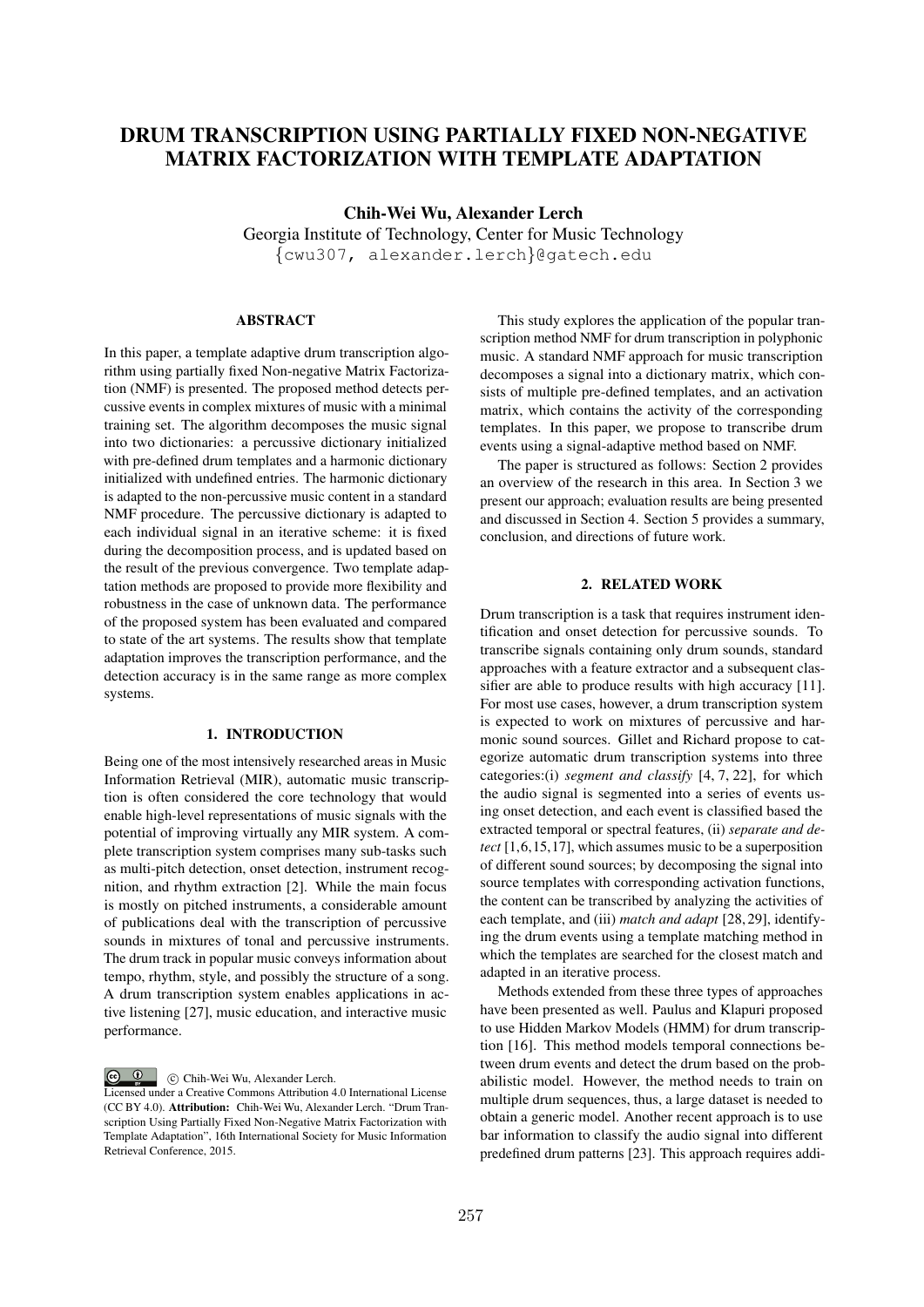# DRUM TRANSCRIPTION USING PARTIALLY FIXED NON-NEGATIVE MATRIX FACTORIZATION WITH TEMPLATE ADAPTATION

Chih-Wei Wu, Alexander Lerch

Georgia Institute of Technology, Center for Music Technology *{*cwu307, alexander.lerch*}*@gatech.edu

**ABSTRACT** 

In this paper, a template adaptive drum transcription algorithm using partially fixed Non-negative Matrix Factorization (NMF) is presented. The proposed method detects percussive events in complex mixtures of music with a minimal training set. The algorithm decomposes the music signal into two dictionaries: a percussive dictionary initialized with pre-defined drum templates and a harmonic dictionary initialized with undefined entries. The harmonic dictionary is adapted to the non-percussive music content in a standard NMF procedure. The percussive dictionary is adapted to each individual signal in an iterative scheme: it is fixed during the decomposition process, and is updated based on the result of the previous convergence. Two template adaptation methods are proposed to provide more flexibility and robustness in the case of unknown data. The performance of the proposed system has been evaluated and compared to state of the art systems. The results show that template adaptation improves the transcription performance, and the detection accuracy is in the same range as more complex systems.

# 1. INTRODUCTION

Being one of the most intensively researched areas in Music Information Retrieval (MIR), automatic music transcription is often considered the core technology that would enable high-level representations of music signals with the potential of improving virtually any MIR system. A complete transcription system comprises many sub-tasks such as multi-pitch detection, onset detection, instrument recognition, and rhythm extraction [2]. While the main focus is mostly on pitched instruments, a considerable amount of publications deal with the transcription of percussive sounds in mixtures of tonal and percussive instruments. The drum track in popular music conveys information about tempo, rhythm, style, and possibly the structure of a song. A drum transcription system enables applications in active listening [27], music education, and interactive music performance.

 $\bigcirc$   $\bigcirc$ 

c Chih-Wei Wu, Alexander Lerch.

Licensed under a Creative Commons Attribution 4.0 International License (CC BY 4.0). Attribution: Chih-Wei Wu, Alexander Lerch. "Drum Transcription Using Partially Fixed Non-Negative Matrix Factorization with Template Adaptation", 16th International Society for Music Information Retrieval Conference, 2015.

This study explores the application of the popular transcription method NMF for drum transcription in polyphonic music. A standard NMF approach for music transcription decomposes a signal into a dictionary matrix, which consists of multiple pre-defined templates, and an activation matrix, which contains the activity of the corresponding templates. In this paper, we propose to transcribe drum events using a signal-adaptive method based on NMF.

The paper is structured as follows: Section 2 provides an overview of the research in this area. In Section 3 we present our approach; evaluation results are being presented and discussed in Section 4. Section 5 provides a summary, conclusion, and directions of future work.

# 2. RELATED WORK

Drum transcription is a task that requires instrument identification and onset detection for percussive sounds. To transcribe signals containing only drum sounds, standard approaches with a feature extractor and a subsequent classifier are able to produce results with high accuracy [11]. For most use cases, however, a drum transcription system is expected to work on mixtures of percussive and harmonic sound sources. Gillet and Richard propose to categorize automatic drum transcription systems into three categories:(i) *segment and classify* [4, 7, 22], for which the audio signal is segmented into a series of events using onset detection, and each event is classified based the extracted temporal or spectral features, (ii) *separate and detect* [1,6,15,17], which assumes music to be a superposition of different sound sources; by decomposing the signal into source templates with corresponding activation functions, the content can be transcribed by analyzing the activities of each template, and (iii) *match and adapt* [28, 29], identifying the drum events using a template matching method in which the templates are searched for the closest match and adapted in an iterative process.

Methods extended from these three types of approaches have been presented as well. Paulus and Klapuri proposed to use Hidden Markov Models (HMM) for drum transcription [16]. This method models temporal connections between drum events and detect the drum based on the probabilistic model. However, the method needs to train on multiple drum sequences, thus, a large dataset is needed to obtain a generic model. Another recent approach is to use bar information to classify the audio signal into different predefined drum patterns [23]. This approach requires addi-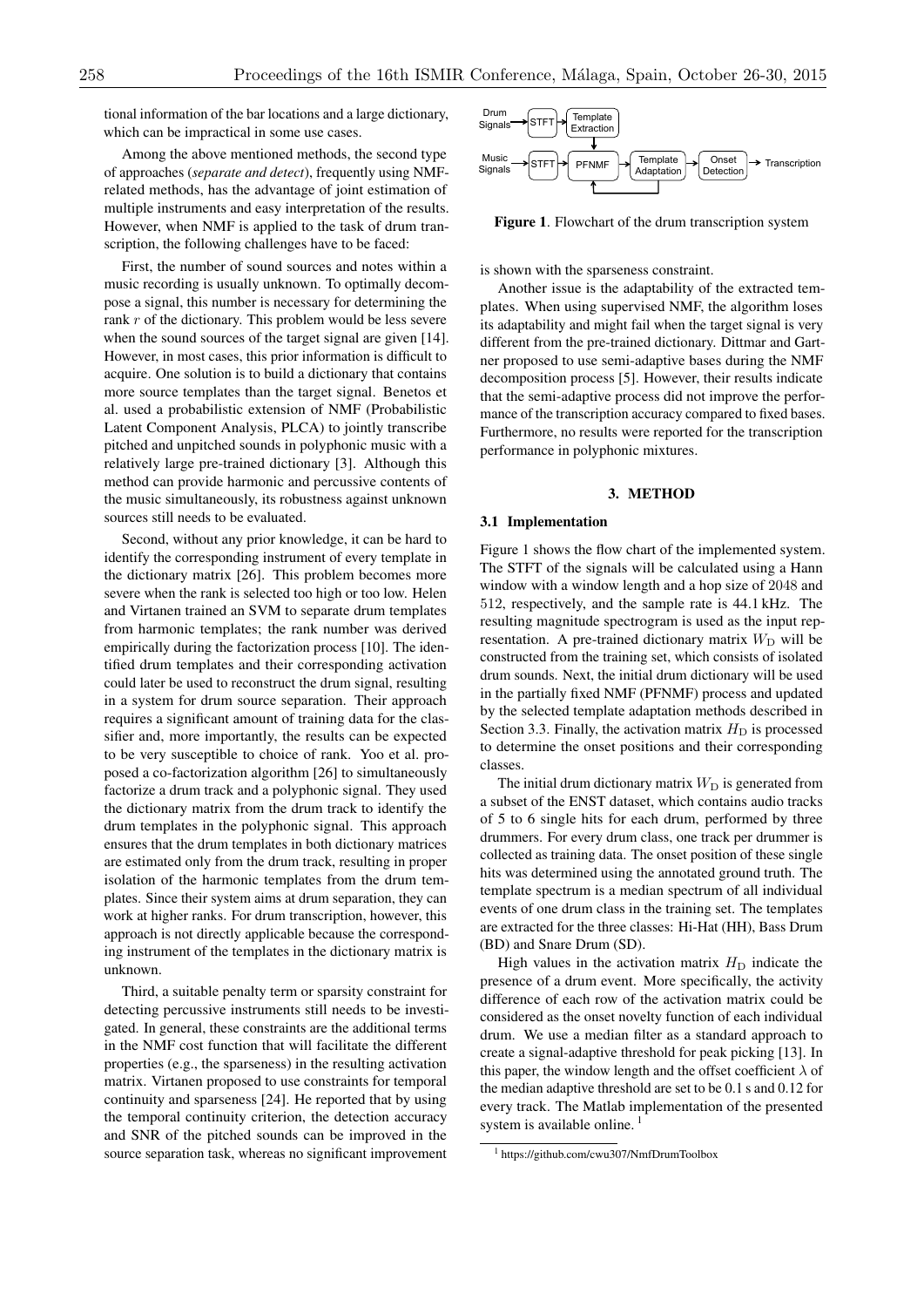tional information of the bar locations and a large dictionary, which can be impractical in some use cases.

Among the above mentioned methods, the second type of approaches (*separate and detect*), frequently using NMFrelated methods, has the advantage of joint estimation of multiple instruments and easy interpretation of the results. However, when NMF is applied to the task of drum transcription, the following challenges have to be faced:

First, the number of sound sources and notes within a music recording is usually unknown. To optimally decompose a signal, this number is necessary for determining the rank *r* of the dictionary. This problem would be less severe when the sound sources of the target signal are given [14]. However, in most cases, this prior information is difficult to acquire. One solution is to build a dictionary that contains more source templates than the target signal. Benetos et al. used a probabilistic extension of NMF (Probabilistic Latent Component Analysis, PLCA) to jointly transcribe pitched and unpitched sounds in polyphonic music with a relatively large pre-trained dictionary [3]. Although this method can provide harmonic and percussive contents of the music simultaneously, its robustness against unknown sources still needs to be evaluated.

Second, without any prior knowledge, it can be hard to identify the corresponding instrument of every template in the dictionary matrix [26]. This problem becomes more severe when the rank is selected too high or too low. Helen and Virtanen trained an SVM to separate drum templates from harmonic templates; the rank number was derived empirically during the factorization process [10]. The identified drum templates and their corresponding activation could later be used to reconstruct the drum signal, resulting in a system for drum source separation. Their approach requires a significant amount of training data for the classifier and, more importantly, the results can be expected to be very susceptible to choice of rank. Yoo et al. proposed a co-factorization algorithm [26] to simultaneously factorize a drum track and a polyphonic signal. They used the dictionary matrix from the drum track to identify the drum templates in the polyphonic signal. This approach ensures that the drum templates in both dictionary matrices are estimated only from the drum track, resulting in proper isolation of the harmonic templates from the drum templates. Since their system aims at drum separation, they can work at higher ranks. For drum transcription, however, this approach is not directly applicable because the corresponding instrument of the templates in the dictionary matrix is unknown.

Third, a suitable penalty term or sparsity constraint for detecting percussive instruments still needs to be investigated. In general, these constraints are the additional terms in the NMF cost function that will facilitate the different properties (e.g., the sparseness) in the resulting activation matrix. Virtanen proposed to use constraints for temporal continuity and sparseness [24]. He reported that by using the temporal continuity criterion, the detection accuracy and SNR of the pitched sounds can be improved in the source separation task, whereas no significant improvement



Figure 1. Flowchart of the drum transcription system

is shown with the sparseness constraint.

Another issue is the adaptability of the extracted templates. When using supervised NMF, the algorithm loses its adaptability and might fail when the target signal is very different from the pre-trained dictionary. Dittmar and Gartner proposed to use semi-adaptive bases during the NMF decomposition process [5]. However, their results indicate that the semi-adaptive process did not improve the performance of the transcription accuracy compared to fixed bases. Furthermore, no results were reported for the transcription performance in polyphonic mixtures.

# 3. METHOD

## 3.1 Implementation

Figure 1 shows the flow chart of the implemented system. The STFT of the signals will be calculated using a Hann window with a window length and a hop size of 2048 and 512, respectively, and the sample rate is 44.1 kHz. The resulting magnitude spectrogram is used as the input representation. A pre-trained dictionary matrix  $W_D$  will be constructed from the training set, which consists of isolated drum sounds. Next, the initial drum dictionary will be used in the partially fixed NMF (PFNMF) process and updated by the selected template adaptation methods described in Section 3.3. Finally, the activation matrix  $H<sub>D</sub>$  is processed to determine the onset positions and their corresponding classes.

The initial drum dictionary matrix  $W_D$  is generated from a subset of the ENST dataset, which contains audio tracks of 5 to 6 single hits for each drum, performed by three drummers. For every drum class, one track per drummer is collected as training data. The onset position of these single hits was determined using the annotated ground truth. The template spectrum is a median spectrum of all individual events of one drum class in the training set. The templates are extracted for the three classes: Hi-Hat (HH), Bass Drum (BD) and Snare Drum (SD).

High values in the activation matrix  $H<sub>D</sub>$  indicate the presence of a drum event. More specifically, the activity difference of each row of the activation matrix could be considered as the onset novelty function of each individual drum. We use a median filter as a standard approach to create a signal-adaptive threshold for peak picking [13]. In this paper, the window length and the offset coefficient  $\lambda$  of the median adaptive threshold are set to be 0.1 s and 0.12 for every track. The Matlab implementation of the presented system is available online.<sup>1</sup>

<sup>1</sup> https://github.com/cwu307/NmfDrumToolbox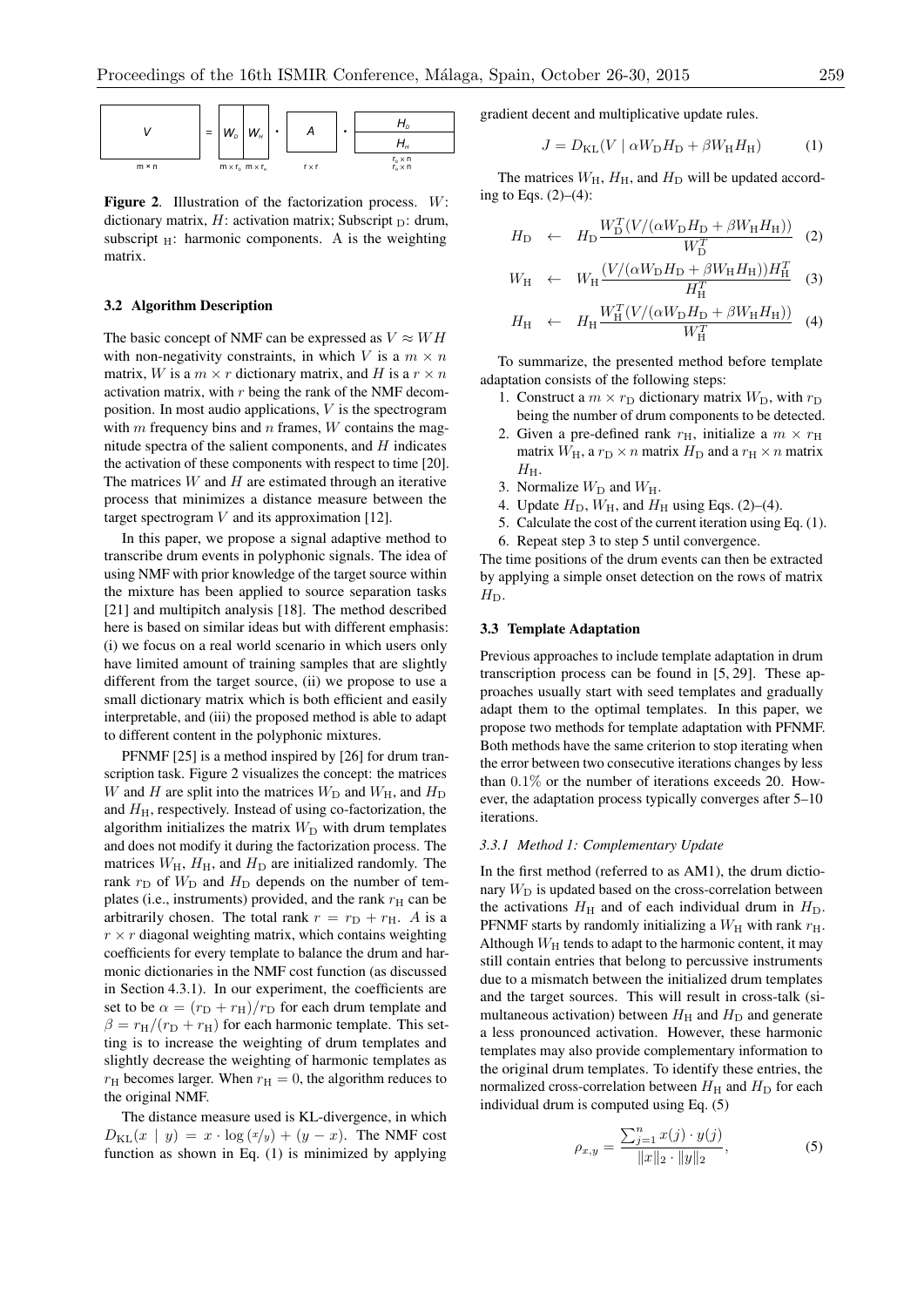

Figure 2. Illustration of the factorization process. *W*: dictionary matrix,  $H$ : activation matrix; Subscript  $_D$ : drum, subscript  $_H$ : harmonic components. A is the weighting matrix.

# 3.2 Algorithm Description

The basic concept of NMF can be expressed as  $V \approx WH$ with non-negativity constraints, in which *V* is a  $m \times n$ matrix, *W* is a  $m \times r$  dictionary matrix, and *H* is a  $r \times n$ activation matrix, with *r* being the rank of the NMF decomposition. In most audio applications, *V* is the spectrogram with *m* frequency bins and *n* frames, *W* contains the magnitude spectra of the salient components, and *H* indicates the activation of these components with respect to time [20]. The matrices *W* and *H* are estimated through an iterative process that minimizes a distance measure between the target spectrogram *V* and its approximation [12].

In this paper, we propose a signal adaptive method to transcribe drum events in polyphonic signals. The idea of using NMF with prior knowledge of the target source within the mixture has been applied to source separation tasks [21] and multipitch analysis [18]. The method described here is based on similar ideas but with different emphasis: (i) we focus on a real world scenario in which users only have limited amount of training samples that are slightly different from the target source, (ii) we propose to use a small dictionary matrix which is both efficient and easily interpretable, and (iii) the proposed method is able to adapt to different content in the polyphonic mixtures.

PFNMF [25] is a method inspired by [26] for drum transcription task. Figure 2 visualizes the concept: the matrices *W* and *H* are split into the matrices  $W_D$  and  $W_H$ , and  $H_D$ and  $H<sub>H</sub>$ , respectively. Instead of using co-factorization, the algorithm initializes the matrix  $W_D$  with drum templates and does not modify it during the factorization process. The matrices  $W_H$ ,  $H_H$ , and  $H_D$  are initialized randomly. The rank  $r_D$  of  $W_D$  and  $H_D$  depends on the number of templates (i.e., instruments) provided, and the rank  $r<sub>H</sub>$  can be arbitrarily chosen. The total rank  $r = r_D + r_H$ . A is a  $r \times r$  diagonal weighting matrix, which contains weighting coefficients for every template to balance the drum and harmonic dictionaries in the NMF cost function (as discussed in Section 4.3.1). In our experiment, the coefficients are set to be  $\alpha = (r_D + r_H)/r_D$  for each drum template and  $\beta = r_H/(r_D + r_H)$  for each harmonic template. This setting is to increase the weighting of drum templates and slightly decrease the weighting of harmonic templates as  $r_H$  becomes larger. When  $r_H = 0$ , the algorithm reduces to the original NMF.

The distance measure used is KL-divergence, in which  $D_{\text{KL}}(x \mid y) = x \cdot \log(x/y) + (y - x)$ . The NMF cost function as shown in Eq. (1) is minimized by applying gradient decent and multiplicative update rules.

$$
J = D_{\text{KL}}(V \mid \alpha W_{\text{D}} H_{\text{D}} + \beta W_{\text{H}} H_{\text{H}})
$$
 (1)

The matrices  $W_H$ ,  $H_H$ , and  $H_D$  will be updated according to Eqs.  $(2)–(4)$ :

$$
H_{\rm D} \quad \leftarrow \quad H_{\rm D} \frac{W_{\rm D}^T (V/(\alpha W_{\rm D} H_{\rm D} + \beta W_{\rm H} H_{\rm H}))}{W_{\rm D}^T} \tag{2}
$$

$$
W_{\rm H} \leftarrow W_{\rm H} \frac{(V/(\alpha W_{\rm D} H_{\rm D} + \beta W_{\rm H} H_{\rm H}))H_{\rm H}^T}{H_{\rm H}^T} \quad (3)
$$

$$
H_{\rm H} \leftarrow H_{\rm H} \frac{W_{\rm H}^T (V/(\alpha W_{\rm D} H_{\rm D} + \beta W_{\rm H} H_{\rm H}))}{W_{\rm H}^T} \tag{4}
$$

To summarize, the presented method before template adaptation consists of the following steps:

- 1. Construct a  $m \times r_D$  dictionary matrix  $W_D$ , with  $r_D$ being the number of drum components to be detected.
- 2. Given a pre-defined rank  $r_{\text{H}}$ , initialize a  $m \times r_{\text{H}}$ matrix  $W_H$ , a  $r_D \times n$  matrix  $H_D$  and a  $r_H \times n$  matrix  $H<sub>H</sub>$ .
- 3. Normalize  $W_D$  and  $W_H$ .
- 4. Update  $H_D$ ,  $W_H$ , and  $H_H$  using Eqs. (2)–(4).
- 5. Calculate the cost of the current iteration using Eq. (1).
- 6. Repeat step 3 to step 5 until convergence.

The time positions of the drum events can then be extracted by applying a simple onset detection on the rows of matrix  $H_D$ .

## 3.3 Template Adaptation

Previous approaches to include template adaptation in drum transcription process can be found in [5, 29]. These approaches usually start with seed templates and gradually adapt them to the optimal templates. In this paper, we propose two methods for template adaptation with PFNMF. Both methods have the same criterion to stop iterating when the error between two consecutive iterations changes by less than 0*.*1% or the number of iterations exceeds 20. However, the adaptation process typically converges after 5–10 iterations.

# *3.3.1 Method 1: Complementary Update*

In the first method (referred to as AM1), the drum dictionary  $W_D$  is updated based on the cross-correlation between the activations  $H<sub>H</sub>$  and of each individual drum in  $H<sub>D</sub>$ . PFNMF starts by randomly initializing a  $W_H$  with rank  $r_H$ . Although  $W_H$  tends to adapt to the harmonic content, it may still contain entries that belong to percussive instruments due to a mismatch between the initialized drum templates and the target sources. This will result in cross-talk (simultaneous activation) between  $H<sub>H</sub>$  and  $H<sub>D</sub>$  and generate a less pronounced activation. However, these harmonic templates may also provide complementary information to the original drum templates. To identify these entries, the normalized cross-correlation between  $H<sub>H</sub>$  and  $H<sub>D</sub>$  for each individual drum is computed using Eq. (5)

$$
\rho_{x,y} = \frac{\sum_{j=1}^{n} x(j) \cdot y(j)}{\|x\|_2 \cdot \|y\|_2},\tag{5}
$$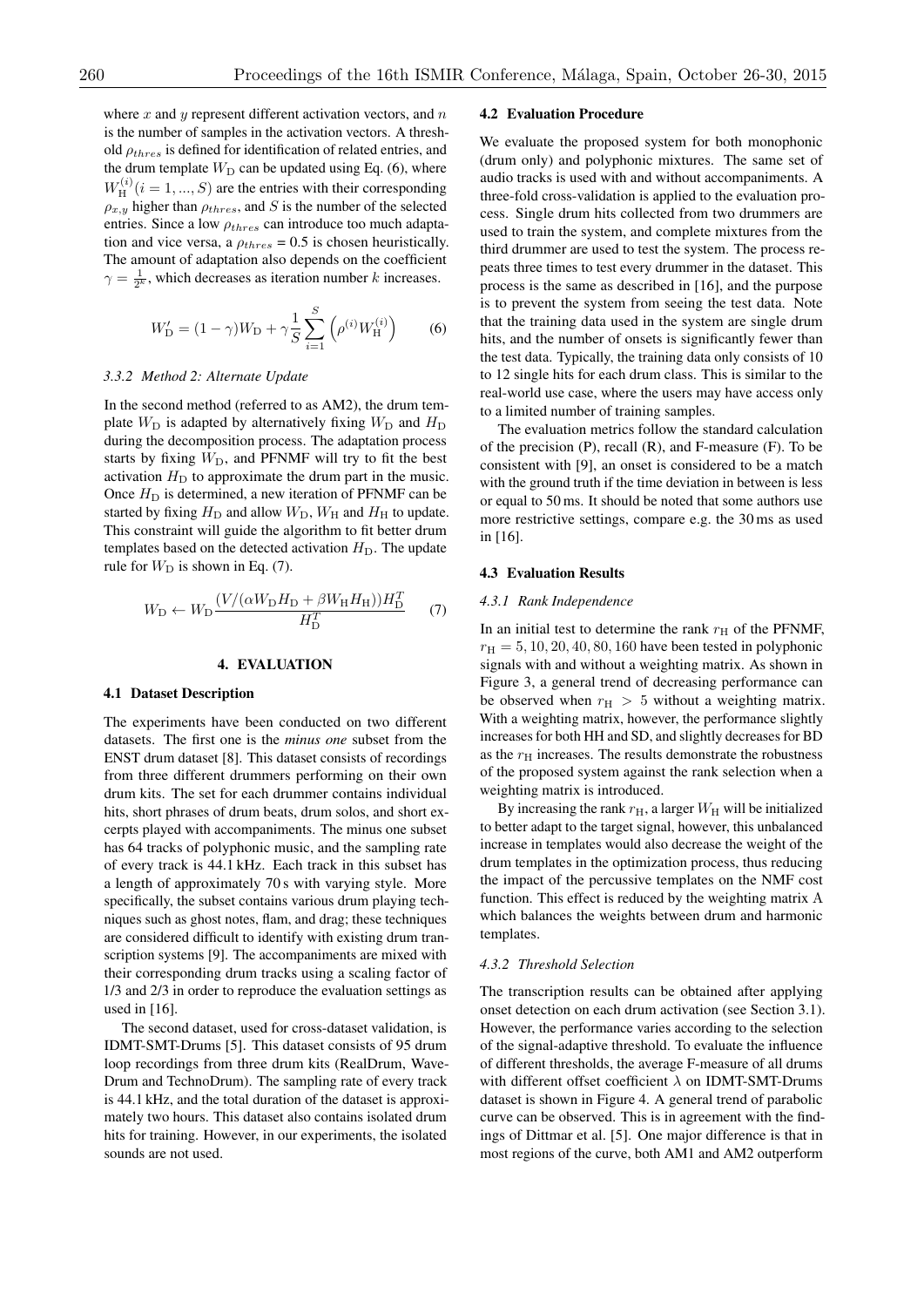where *x* and *y* represent different activation vectors, and *n* is the number of samples in the activation vectors. A threshold  $\rho_{thres}$  is defined for identification of related entries, and the drum template  $W_D$  can be updated using Eq. (6), where  $W_{\text{H}}^{(i)}$  (*i* = 1, ..., *S*) are the entries with their corresponding  $\rho_{x,y}$  higher than  $\rho_{thres}$ , and *S* is the number of the selected entries. Since a low  $\rho_{thres}$  can introduce too much adaptation and vice versa, a  $\rho_{thres} = 0.5$  is chosen heuristically. The amount of adaptation also depends on the coefficient  $\gamma = \frac{1}{2^k}$ , which decreases as iteration number *k* increases.

$$
W'_{\mathcal{D}} = (1 - \gamma)W_{\mathcal{D}} + \gamma \frac{1}{S} \sum_{i=1}^{S} \left( \rho^{(i)} W_{\mathcal{H}}^{(i)} \right)
$$
 (6)

# *3.3.2 Method 2: Alternate Update*

In the second method (referred to as AM2), the drum template  $W_D$  is adapted by alternatively fixing  $W_D$  and  $H_D$ during the decomposition process. The adaptation process starts by fixing  $W_D$ , and PFNMF will try to fit the best activation  $H<sub>D</sub>$  to approximate the drum part in the music. Once  $H<sub>D</sub>$  is determined, a new iteration of PFNMF can be started by fixing  $H_D$  and allow  $W_D$ ,  $W_H$  and  $H_H$  to update. This constraint will guide the algorithm to fit better drum templates based on the detected activation  $H<sub>D</sub>$ . The update rule for  $W_D$  is shown in Eq. (7).

$$
W_{\rm D} \leftarrow W_{\rm D} \frac{(V/(\alpha W_{\rm D} H_{\rm D} + \beta W_{\rm H} H_{\rm H}))H_{\rm D}^T}{H_{\rm D}^T} \tag{7}
$$

#### 4. EVALUATION

#### 4.1 Dataset Description

The experiments have been conducted on two different datasets. The first one is the *minus one* subset from the ENST drum dataset [8]. This dataset consists of recordings from three different drummers performing on their own drum kits. The set for each drummer contains individual hits, short phrases of drum beats, drum solos, and short excerpts played with accompaniments. The minus one subset has 64 tracks of polyphonic music, and the sampling rate of every track is 44.1 kHz. Each track in this subset has a length of approximately 70 s with varying style. More specifically, the subset contains various drum playing techniques such as ghost notes, flam, and drag; these techniques are considered difficult to identify with existing drum transcription systems [9]. The accompaniments are mixed with their corresponding drum tracks using a scaling factor of 1/3 and 2/3 in order to reproduce the evaluation settings as used in [16].

The second dataset, used for cross-dataset validation, is IDMT-SMT-Drums [5]. This dataset consists of 95 drum loop recordings from three drum kits (RealDrum, Wave-Drum and TechnoDrum). The sampling rate of every track is 44.1 kHz, and the total duration of the dataset is approximately two hours. This dataset also contains isolated drum hits for training. However, in our experiments, the isolated sounds are not used.

# 4.2 Evaluation Procedure

We evaluate the proposed system for both monophonic (drum only) and polyphonic mixtures. The same set of audio tracks is used with and without accompaniments. A three-fold cross-validation is applied to the evaluation process. Single drum hits collected from two drummers are used to train the system, and complete mixtures from the third drummer are used to test the system. The process repeats three times to test every drummer in the dataset. This process is the same as described in [16], and the purpose is to prevent the system from seeing the test data. Note that the training data used in the system are single drum hits, and the number of onsets is significantly fewer than the test data. Typically, the training data only consists of 10 to 12 single hits for each drum class. This is similar to the real-world use case, where the users may have access only to a limited number of training samples.

The evaluation metrics follow the standard calculation of the precision (P), recall (R), and F-measure (F). To be consistent with [9], an onset is considered to be a match with the ground truth if the time deviation in between is less or equal to 50 ms. It should be noted that some authors use more restrictive settings, compare e.g. the 30 ms as used in [16].

#### 4.3 Evaluation Results

## *4.3.1 Rank Independence*

In an initial test to determine the rank  $r<sub>H</sub>$  of the PFNMF,  $r_{\rm H} = 5, 10, 20, 40, 80, 160$  have been tested in polyphonic signals with and without a weighting matrix. As shown in Figure 3, a general trend of decreasing performance can be observed when  $r_H > 5$  without a weighting matrix. With a weighting matrix, however, the performance slightly increases for both HH and SD, and slightly decreases for BD as the  $r<sub>H</sub>$  increases. The results demonstrate the robustness of the proposed system against the rank selection when a weighting matrix is introduced.

By increasing the rank  $r_{\rm H}$ , a larger  $W_{\rm H}$  will be initialized to better adapt to the target signal, however, this unbalanced increase in templates would also decrease the weight of the drum templates in the optimization process, thus reducing the impact of the percussive templates on the NMF cost function. This effect is reduced by the weighting matrix A which balances the weights between drum and harmonic templates.

### *4.3.2 Threshold Selection*

The transcription results can be obtained after applying onset detection on each drum activation (see Section 3.1). However, the performance varies according to the selection of the signal-adaptive threshold. To evaluate the influence of different thresholds, the average F-measure of all drums with different offset coefficient  $\lambda$  on IDMT-SMT-Drums dataset is shown in Figure 4. A general trend of parabolic curve can be observed. This is in agreement with the findings of Dittmar et al. [5]. One major difference is that in most regions of the curve, both AM1 and AM2 outperform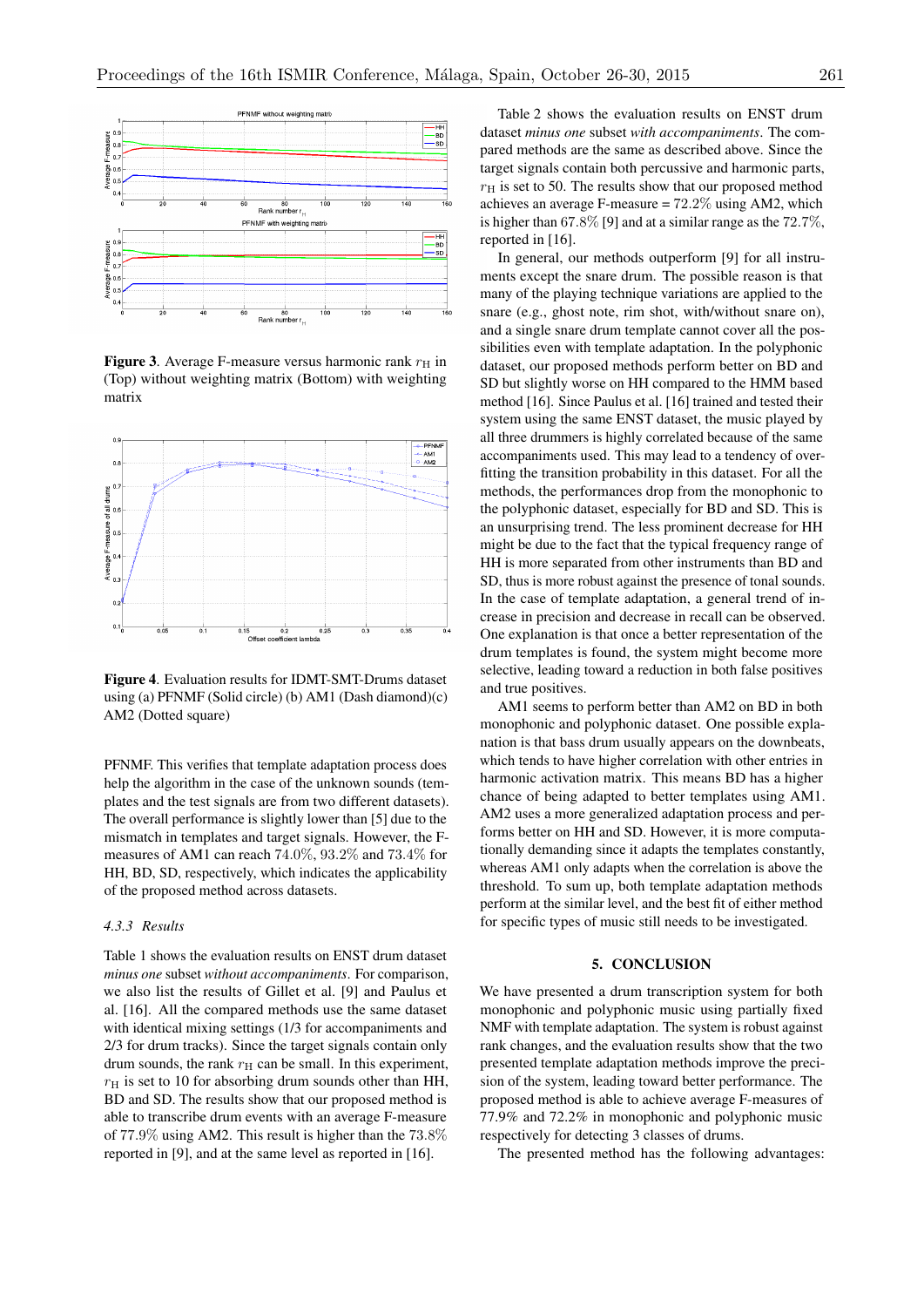

**Figure 3.** Average F-measure versus harmonic rank  $r<sub>H</sub>$  in (Top) without weighting matrix (Bottom) with weighting matrix



Figure 4. Evaluation results for IDMT-SMT-Drums dataset using (a) PFNMF (Solid circle) (b) AM1 (Dash diamond)(c) AM2 (Dotted square)

PFNMF. This verifies that template adaptation process does help the algorithm in the case of the unknown sounds (templates and the test signals are from two different datasets). The overall performance is slightly lower than [5] due to the mismatch in templates and target signals. However, the Fmeasures of AM1 can reach 74*.*0%, 93*.*2% and 73*.*4% for HH, BD, SD, respectively, which indicates the applicability of the proposed method across datasets.

# *4.3.3 Results*

Table 1 shows the evaluation results on ENST drum dataset *minus one* subset *without accompaniments*. For comparison, we also list the results of Gillet et al. [9] and Paulus et al. [16]. All the compared methods use the same dataset with identical mixing settings (1/3 for accompaniments and 2/3 for drum tracks). Since the target signals contain only drum sounds, the rank  $r_H$  can be small. In this experiment,  $r<sub>H</sub>$  is set to 10 for absorbing drum sounds other than HH, BD and SD. The results show that our proposed method is able to transcribe drum events with an average F-measure of 77*.*9% using AM2. This result is higher than the 73*.*8% reported in [9], and at the same level as reported in [16].

Table 2 shows the evaluation results on ENST drum dataset *minus one* subset *with accompaniments*. The compared methods are the same as described above. Since the target signals contain both percussive and harmonic parts,  $r<sub>H</sub>$  is set to 50. The results show that our proposed method achieves an average F-measure = 72*.*2% using AM2, which is higher than 67*.*8% [9] and at a similar range as the 72*.*7%, reported in [16].

In general, our methods outperform [9] for all instruments except the snare drum. The possible reason is that many of the playing technique variations are applied to the snare (e.g., ghost note, rim shot, with/without snare on), and a single snare drum template cannot cover all the possibilities even with template adaptation. In the polyphonic dataset, our proposed methods perform better on BD and SD but slightly worse on HH compared to the HMM based method [16]. Since Paulus et al. [16] trained and tested their system using the same ENST dataset, the music played by all three drummers is highly correlated because of the same accompaniments used. This may lead to a tendency of overfitting the transition probability in this dataset. For all the methods, the performances drop from the monophonic to the polyphonic dataset, especially for BD and SD. This is an unsurprising trend. The less prominent decrease for HH might be due to the fact that the typical frequency range of HH is more separated from other instruments than BD and SD, thus is more robust against the presence of tonal sounds. In the case of template adaptation, a general trend of increase in precision and decrease in recall can be observed. One explanation is that once a better representation of the drum templates is found, the system might become more selective, leading toward a reduction in both false positives and true positives.

AM1 seems to perform better than AM2 on BD in both monophonic and polyphonic dataset. One possible explanation is that bass drum usually appears on the downbeats, which tends to have higher correlation with other entries in harmonic activation matrix. This means BD has a higher chance of being adapted to better templates using AM1. AM2 uses a more generalized adaptation process and performs better on HH and SD. However, it is more computationally demanding since it adapts the templates constantly, whereas AM1 only adapts when the correlation is above the threshold. To sum up, both template adaptation methods perform at the similar level, and the best fit of either method for specific types of music still needs to be investigated.

# 5. CONCLUSION

We have presented a drum transcription system for both monophonic and polyphonic music using partially fixed NMF with template adaptation. The system is robust against rank changes, and the evaluation results show that the two presented template adaptation methods improve the precision of the system, leading toward better performance. The proposed method is able to achieve average F-measures of 77.9% and 72.2% in monophonic and polyphonic music respectively for detecting 3 classes of drums.

The presented method has the following advantages: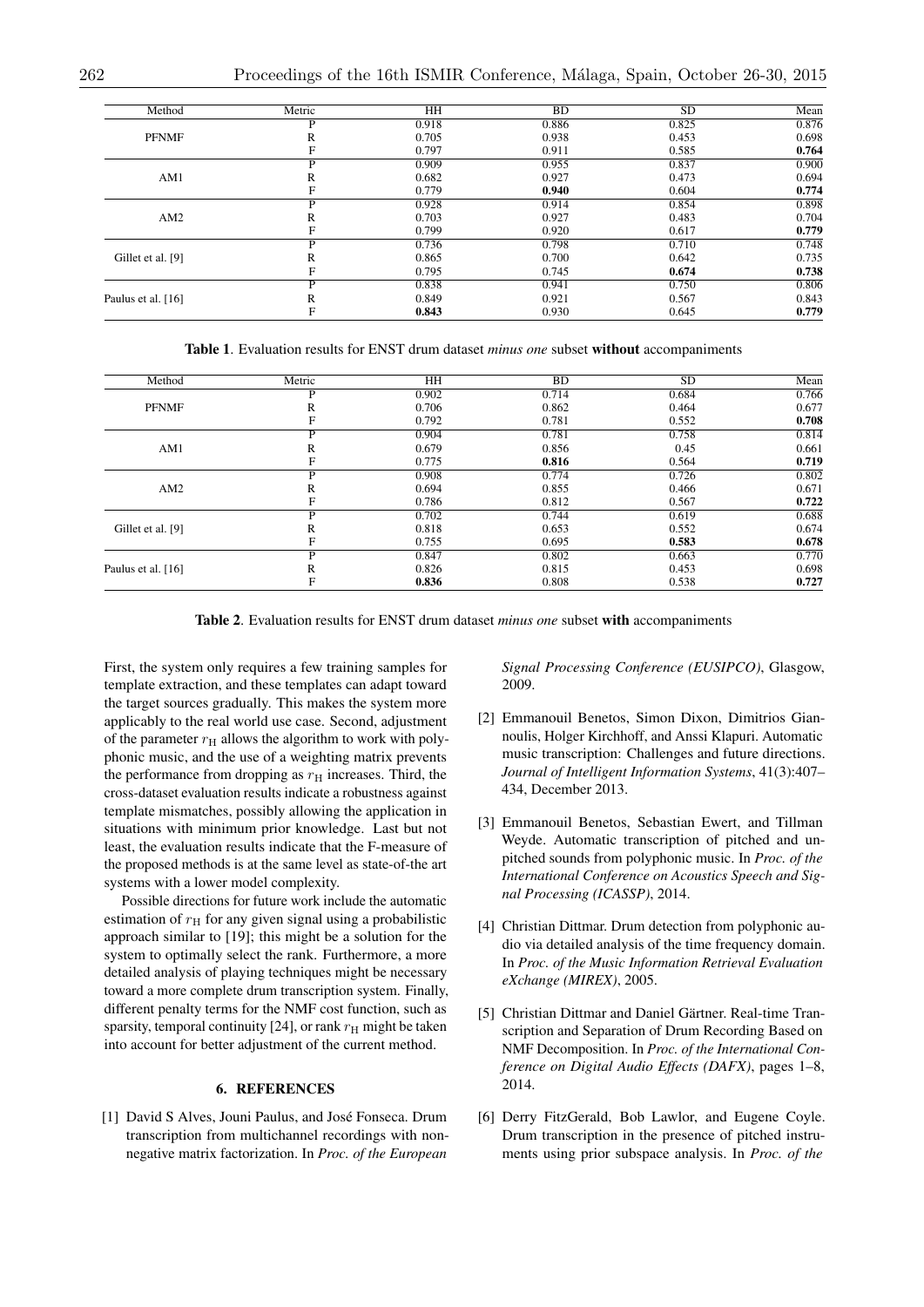| Method             | Metric | HH    | BD    | SD    | Mean  |
|--------------------|--------|-------|-------|-------|-------|
| <b>PFNMF</b>       | D      | 0.918 | 0.886 | 0.825 | 0.876 |
|                    | R      | 0.705 | 0.938 | 0.453 | 0.698 |
|                    |        | 0.797 | 0.911 | 0.585 | 0.764 |
| AM1                | D      | 0.909 | 0.955 | 0.837 | 0.900 |
|                    | R      | 0.682 | 0.927 | 0.473 | 0.694 |
|                    | F      | 0.779 | 0.940 | 0.604 | 0.774 |
| AM2                | P      | 0.928 | 0.914 | 0.854 | 0.898 |
|                    | R      | 0.703 | 0.927 | 0.483 | 0.704 |
|                    | F      | 0.799 | 0.920 | 0.617 | 0.779 |
| Gillet et al. [9]  | D      | 0.736 | 0.798 | 0.710 | 0.748 |
|                    | R      | 0.865 | 0.700 | 0.642 | 0.735 |
|                    |        | 0.795 | 0.745 | 0.674 | 0.738 |
| Paulus et al. [16] | Þ      | 0.838 | 0.941 | 0.750 | 0.806 |
|                    | R      | 0.849 | 0.921 | 0.567 | 0.843 |
|                    |        | 0.843 | 0.930 | 0.645 | 0.779 |
|                    |        |       |       |       |       |

Table 1. Evaluation results for ENST drum dataset *minus one* subset without accompaniments

| Method             | Metric | HH    | <b>BD</b> | <b>SD</b> | Mean  |
|--------------------|--------|-------|-----------|-----------|-------|
| <b>PFNMF</b>       | D      | 0.902 | 0.714     | 0.684     | 0.766 |
|                    | R      | 0.706 | 0.862     | 0.464     | 0.677 |
|                    |        | 0.792 | 0.781     | 0.552     | 0.708 |
| AM1                | P      | 0.904 | 0.781     | 0.758     | 0.814 |
|                    | R      | 0.679 | 0.856     | 0.45      | 0.661 |
|                    |        | 0.775 | 0.816     | 0.564     | 0.719 |
| AM2                | D      | 0.908 | 0.774     | 0.726     | 0.802 |
|                    | R      | 0.694 | 0.855     | 0.466     | 0.671 |
|                    |        | 0.786 | 0.812     | 0.567     | 0.722 |
| Gillet et al. [9]  | D      | 0.702 | 0.744     | 0.619     | 0.688 |
|                    | R      | 0.818 | 0.653     | 0.552     | 0.674 |
|                    |        | 0.755 | 0.695     | 0.583     | 0.678 |
| Paulus et al. [16] | P      | 0.847 | 0.802     | 0.663     | 0.770 |
|                    | R      | 0.826 | 0.815     | 0.453     | 0.698 |
|                    |        | 0.836 | 0.808     | 0.538     | 0.727 |

Table 2. Evaluation results for ENST drum dataset *minus one* subset with accompaniments

First, the system only requires a few training samples for template extraction, and these templates can adapt toward the target sources gradually. This makes the system more applicably to the real world use case. Second, adjustment of the parameter  $r<sub>H</sub>$  allows the algorithm to work with polyphonic music, and the use of a weighting matrix prevents the performance from dropping as  $r<sub>H</sub>$  increases. Third, the cross-dataset evaluation results indicate a robustness against template mismatches, possibly allowing the application in situations with minimum prior knowledge. Last but not least, the evaluation results indicate that the F-measure of the proposed methods is at the same level as state-of-the art systems with a lower model complexity.

Possible directions for future work include the automatic estimation of  $r<sub>H</sub>$  for any given signal using a probabilistic approach similar to [19]; this might be a solution for the system to optimally select the rank. Furthermore, a more detailed analysis of playing techniques might be necessary toward a more complete drum transcription system. Finally, different penalty terms for the NMF cost function, such as sparsity, temporal continuity [24], or rank  $r<sub>H</sub>$  might be taken into account for better adjustment of the current method.

# 6. REFERENCES

[1] David S Alves, Jouni Paulus, and José Fonseca. Drum transcription from multichannel recordings with nonnegative matrix factorization. In *Proc. of the European*

*Signal Processing Conference (EUSIPCO)*, Glasgow, 2009.

- [2] Emmanouil Benetos, Simon Dixon, Dimitrios Giannoulis, Holger Kirchhoff, and Anssi Klapuri. Automatic music transcription: Challenges and future directions. *Journal of Intelligent Information Systems*, 41(3):407– 434, December 2013.
- [3] Emmanouil Benetos, Sebastian Ewert, and Tillman Weyde. Automatic transcription of pitched and unpitched sounds from polyphonic music. In *Proc. of the International Conference on Acoustics Speech and Signal Processing (ICASSP)*, 2014.
- [4] Christian Dittmar. Drum detection from polyphonic audio via detailed analysis of the time frequency domain. In *Proc. of the Music Information Retrieval Evaluation eXchange (MIREX)*, 2005.
- [5] Christian Dittmar and Daniel Gärtner. Real-time Transcription and Separation of Drum Recording Based on NMF Decomposition. In *Proc. of the International Conference on Digital Audio Effects (DAFX)*, pages 1–8, 2014.
- [6] Derry FitzGerald, Bob Lawlor, and Eugene Coyle. Drum transcription in the presence of pitched instruments using prior subspace analysis. In *Proc. of the*